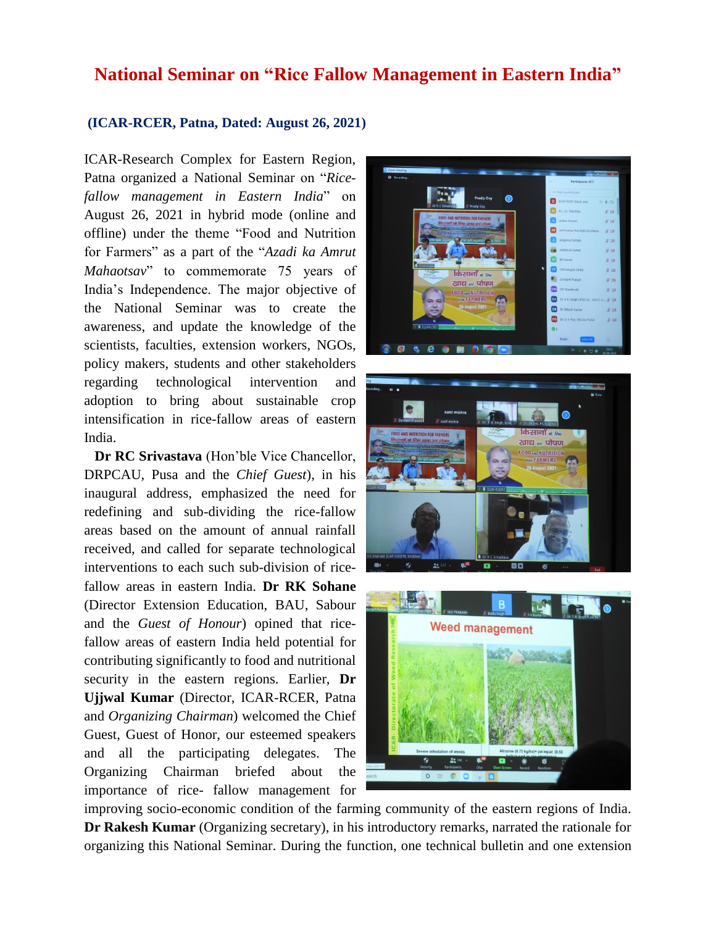## **National Seminar on "Rice Fallow Management in Eastern India"**

## **(ICAR-RCER, Patna, Dated: August 26, 2021)**

ICAR-Research Complex for Eastern Region, Patna organized a National Seminar on "*Ricefallow management in Eastern India*" on August 26, 2021 in hybrid mode (online and offline) under the theme "Food and Nutrition for Farmers" as a part of the "*Azadi ka Amrut Mahaotsav*" to commemorate 75 years of India's Independence. The major objective of the National Seminar was to create the awareness, and update the knowledge of the scientists, faculties, extension workers, NGOs, policy makers, students and other stakeholders regarding technological intervention and adoption to bring about sustainable crop intensification in rice-fallow areas of eastern India.

 **Dr RC Srivastava** (Hon'ble Vice Chancellor, DRPCAU, Pusa and the *Chief Guest*), in his inaugural address, emphasized the need for redefining and sub-dividing the rice-fallow areas based on the amount of annual rainfall received, and called for separate technological interventions to each such sub-division of ricefallow areas in eastern India. **Dr RK Sohane** (Director Extension Education, BAU, Sabour and the *Guest of Honour*) opined that ricefallow areas of eastern India held potential for contributing significantly to food and nutritional security in the eastern regions. Earlier, **Dr Ujjwal Kumar** (Director, ICAR-RCER, Patna and *Organizing Chairman*) welcomed the Chief Guest, Guest of Honor, our esteemed speakers and all the participating delegates. The Organizing Chairman briefed about the importance of rice- fallow management for







improving socio-economic condition of the farming community of the eastern regions of India. **Dr Rakesh Kumar** (Organizing secretary), in his introductory remarks, narrated the rationale for organizing this National Seminar. During the function, one technical bulletin and one extension